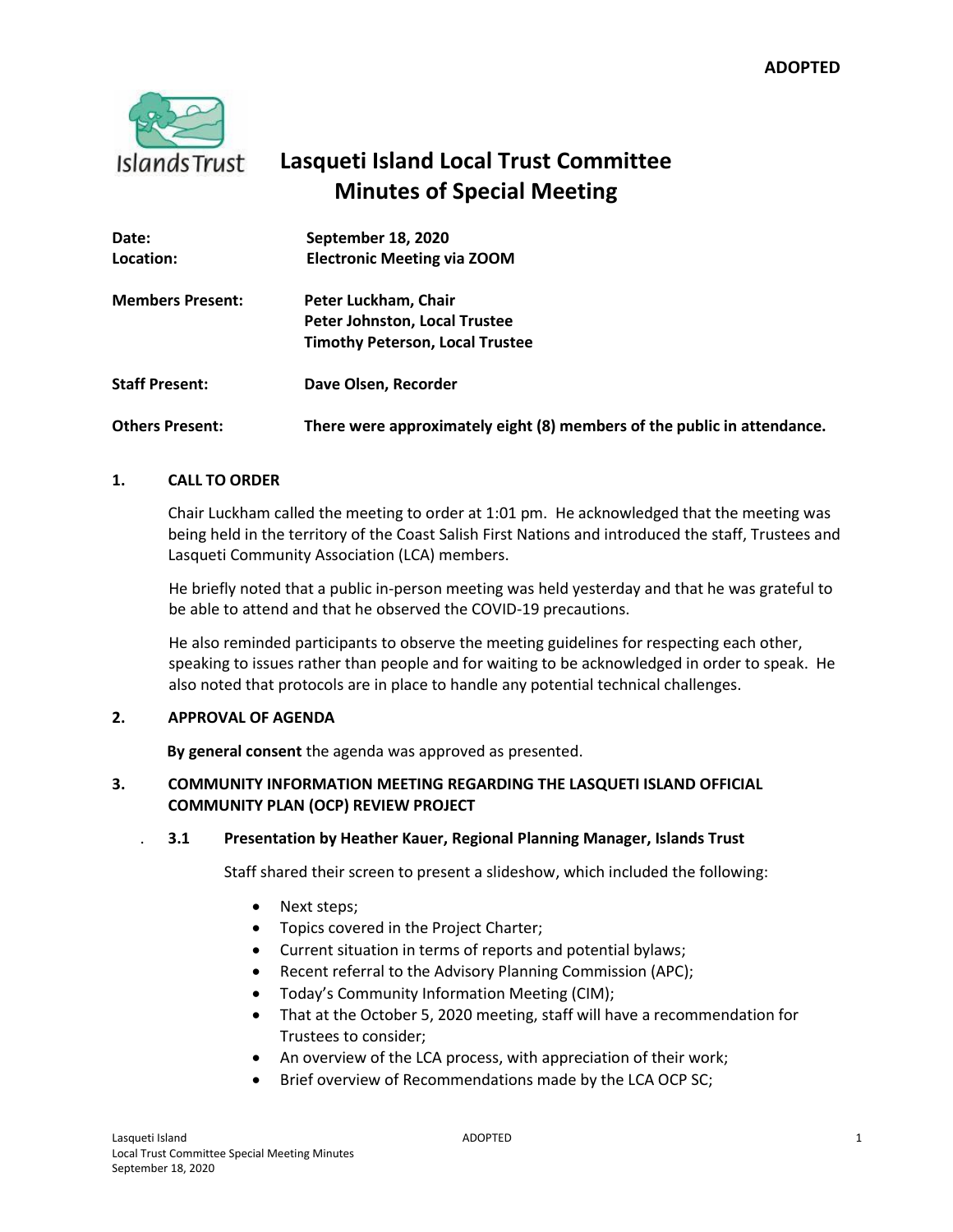

# **Lasqueti Island Local Trust Committee Minutes of Special Meeting**

| Date:                   | September 18, 2020                                                      |
|-------------------------|-------------------------------------------------------------------------|
| Location:               | <b>Electronic Meeting via ZOOM</b>                                      |
| <b>Members Present:</b> | Peter Luckham, Chair                                                    |
|                         | Peter Johnston, Local Trustee                                           |
|                         | <b>Timothy Peterson, Local Trustee</b>                                  |
| <b>Staff Present:</b>   | Dave Olsen, Recorder                                                    |
| <b>Others Present:</b>  | There were approximately eight (8) members of the public in attendance. |

# **1. CALL TO ORDER**

Chair Luckham called the meeting to order at 1:01 pm. He acknowledged that the meeting was being held in the territory of the Coast Salish First Nations and introduced the staff, Trustees and Lasqueti Community Association (LCA) members.

He briefly noted that a public in-person meeting was held yesterday and that he was grateful to be able to attend and that he observed the COVID-19 precautions.

He also reminded participants to observe the meeting guidelines for respecting each other, speaking to issues rather than people and for waiting to be acknowledged in order to speak. He also noted that protocols are in place to handle any potential technical challenges.

# **2. APPROVAL OF AGENDA**

**By general consent** the agenda was approved as presented.

# **3. COMMUNITY INFORMATION MEETING REGARDING THE LASQUETI ISLAND OFFICIAL COMMUNITY PLAN (OCP) REVIEW PROJECT**

#### . **3.1 Presentation by Heather Kauer, Regional Planning Manager, Islands Trust**

Staff shared their screen to present a slideshow, which included the following:

- Next steps;
- Topics covered in the Project Charter;
- Current situation in terms of reports and potential bylaws;
- Recent referral to the Advisory Planning Commission (APC);
- Today's Community Information Meeting (CIM);
- That at the October 5, 2020 meeting, staff will have a recommendation for Trustees to consider;
- An overview of the LCA process, with appreciation of their work;
- Brief overview of Recommendations made by the LCA OCP SC;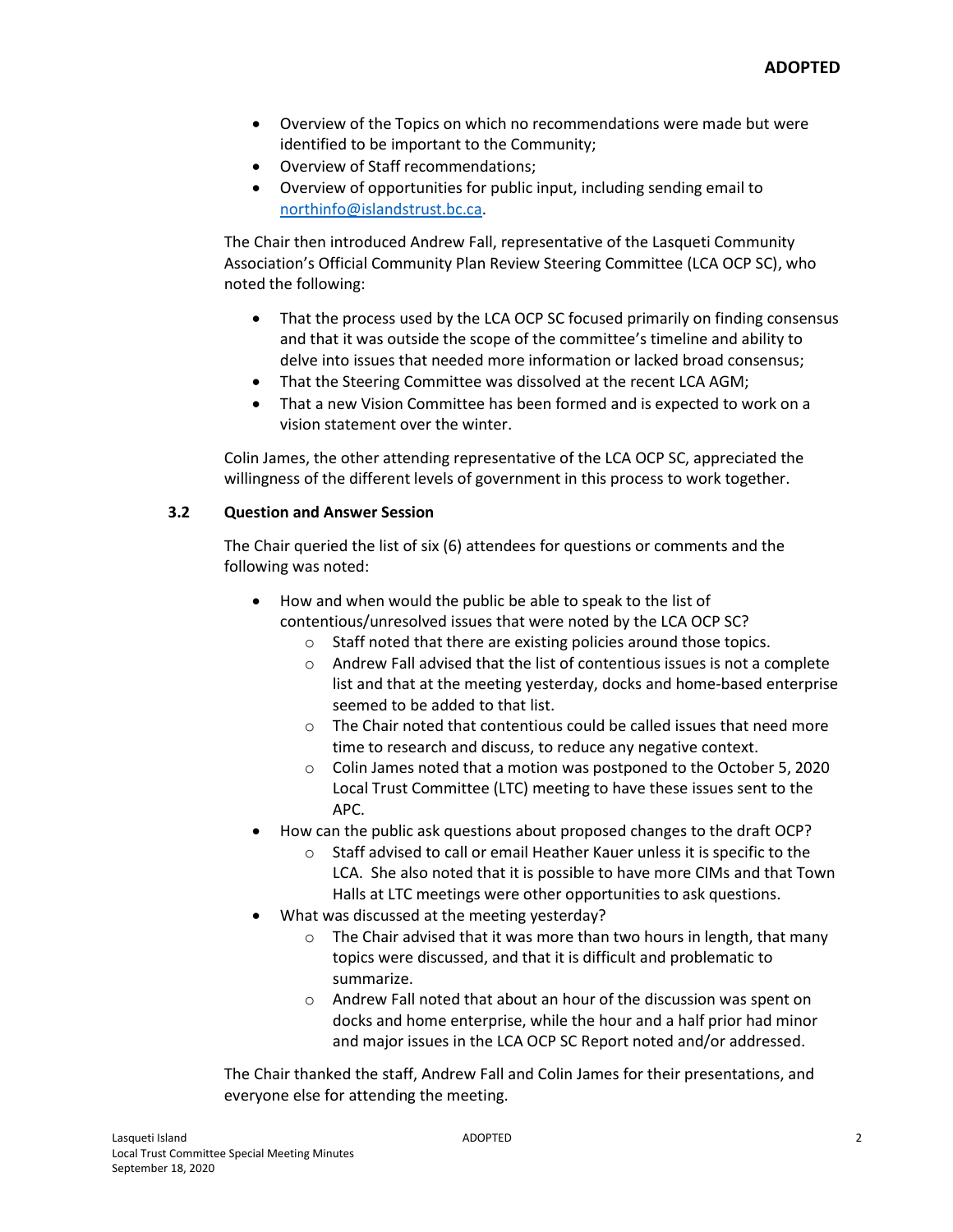- Overview of the Topics on which no recommendations were made but were identified to be important to the Community;
- Overview of Staff recommendations;
- Overview of opportunities for public input, including sending email to [northinfo@islandstrust.bc.ca.](mailto:northinfo@islandstrust.bc.ca)

The Chair then introduced Andrew Fall, representative of the Lasqueti Community Association's Official Community Plan Review Steering Committee (LCA OCP SC), who noted the following:

- That the process used by the LCA OCP SC focused primarily on finding consensus and that it was outside the scope of the committee's timeline and ability to delve into issues that needed more information or lacked broad consensus;
- That the Steering Committee was dissolved at the recent LCA AGM;
- That a new Vision Committee has been formed and is expected to work on a vision statement over the winter.

Colin James, the other attending representative of the LCA OCP SC, appreciated the willingness of the different levels of government in this process to work together.

#### **3.2 Question and Answer Session**

The Chair queried the list of six (6) attendees for questions or comments and the following was noted:

- How and when would the public be able to speak to the list of contentious/unresolved issues that were noted by the LCA OCP SC?
	- o Staff noted that there are existing policies around those topics.
	- $\circ$  Andrew Fall advised that the list of contentious issues is not a complete list and that at the meeting yesterday, docks and home-based enterprise seemed to be added to that list.
	- o The Chair noted that contentious could be called issues that need more time to research and discuss, to reduce any negative context.
	- o Colin James noted that a motion was postponed to the October 5, 2020 Local Trust Committee (LTC) meeting to have these issues sent to the APC.
- How can the public ask questions about proposed changes to the draft OCP?
	- o Staff advised to call or email Heather Kauer unless it is specific to the LCA. She also noted that it is possible to have more CIMs and that Town Halls at LTC meetings were other opportunities to ask questions.
- What was discussed at the meeting yesterday?
	- o The Chair advised that it was more than two hours in length, that many topics were discussed, and that it is difficult and problematic to summarize.
	- o Andrew Fall noted that about an hour of the discussion was spent on docks and home enterprise, while the hour and a half prior had minor and major issues in the LCA OCP SC Report noted and/or addressed.

The Chair thanked the staff, Andrew Fall and Colin James for their presentations, and everyone else for attending the meeting.